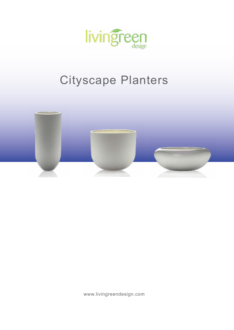

### Cityscape Planters



www.livingreendesign.com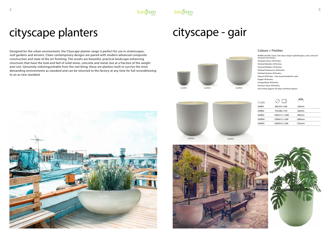









| Code               |                 |          |  |
|--------------------|-----------------|----------|--|
| GAIR01             | 500/255 x 500   | $420$ mm |  |
| GAIR <sub>02</sub> | 750/380 x 750   | 644mm    |  |
| GAIR <sub>03</sub> | 1000/511 x 1000 | 895mm    |  |
| GAIR04             | 1200/613 x 1200 | 1000mm   |  |
| GAIR05             | 1500/913 x 1200 | 1355mm   |  |

Designed for the urban environment, the Cityscape planter range is perfect for use in streetscapes, roof gardens and atriums. Clean contemporary designs are paired with modern advanced composite construction and state of the art finishing. The results are beautiful, practical landscape enhancing structures that have the look and feel of solid stone, concrete and metal, but at a fraction of the weight and cost. Genuinely indistinguishable from the real thing, these are planters built to survive the most demanding environments as standard and can be returned to the factory at any time for full reconditioning to an as new standard.

# cityscape planters

#### Colours + Finishes

BS4800 and RAL Classic: Full colour range in polished gloss, satin, matt and textured matt finishes. Standard colours: All finishes. Polished Metallics: All finishes. Textured Metallics: All finishes. Polished Pearlescents: All finishes. Polished Stardust: All finishes. Natural: All finishes. ( Not recommended for seats) Dapple: All finishes. Vintage Metal: All finishes Premium Stone: All finishes. See Finishes page for all colour and finish options.

# cityscape - gair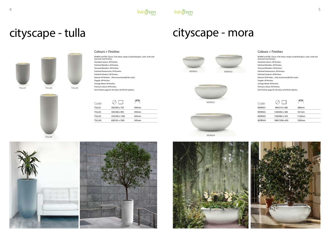



TULL04













 $\bigcirc$  $\oslash$ Code TULL01 500/285 x 750 394mm TULL02 500/280 x 900 394mm TULL03 550/294 x 1200 445mm TULL04 650/341 x 1500 545mm

#### Colours + Finishes

BS4800 and RAL Classic: Full colour range in polished gloss, satin, matt and textured matt finishes. Standard colours: All finishes. Polished Metallics: All finishes. Textured Metallics: All finishes. Polished Pearlescents: All finishes. Polished Stardust: All finishes. Natural: All finishes. ( Not recommended for seats) Dapple: All finishes. Vintage Metal: All finishes Premium Stone: All finishes. See Finishes page for all colour and finish options.

 $\frac{1}{2}$   $\frac{1}{2}$   $\frac{1}{2}$   $\frac{1}{2}$   $\frac{1}{2}$   $\frac{1}{2}$   $\frac{1}{2}$   $\frac{1}{2}$   $\frac{1}{2}$   $\frac{1}{2}$   $\frac{1}{2}$   $\frac{1}{2}$   $\frac{1}{2}$   $\frac{1}{2}$   $\frac{1}{2}$   $\frac{1}{2}$   $\frac{1}{2}$   $\frac{1}{2}$   $\frac{1}{2}$   $\frac{1}{2}$   $\frac{1}{2}$   $\frac{1}{2}$ 

# cityscape - tulla

| Code   |                 |        |  |
|--------|-----------------|--------|--|
| MORA01 | 900/519 x 380   | 686mm  |  |
| MORA02 | 1200/692 x 480  | 921mm  |  |
| MORA03 | 1500/865 x 550  | 1150mm |  |
| MORA04 | 1800/1038 x 650 | 1385mm |  |

#### Colours + Finishes

BS4800 and RAL Classic: Full colour range in polished gloss, satin, matt and textured matt finishes. Standard colours: All finishes. Polished Metallics: All finishes. Textured Metallics: All finishes. Polished Pearlescents: All finishes. Polished Stardust: All finishes. Natural: All finishes. ( Not recommended for seats) Dapple: All finishes. Vintage Metal: All finishes Premium Stone: All finishes. See Finishes page for all colour and finish options.

## cityscape - mora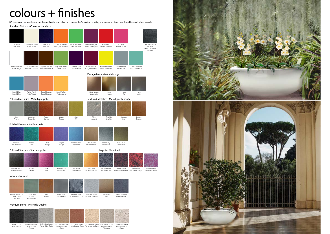Standard Colours - Couleurs standards

# $color +$  finishes

NB: the colours shown throughout this publication are only as accurate as the four colour printing process can achieve, they should be used only as a guide.

Tuscan Terracotta Terre Cuite Toscane

Copper Blue Cuivre Vert-de-gris

Rust Rouille

Aged Lead Plomb vieilli



Antique Lead Portland Stone<br>Le plomb antique Pierre de Portland

Sandstone Grès

#### Premium Stone - Pierre de Qualité



Light Grey Stone Light Brown Stone Light Red Stone Light Yellow Stone Mid White Stone<br>Pierre Grise Claire Pierre Marron Pierre Rouge Claire Pierre Jaune Claire Pierre Blanche

Moyenne

Claire

Light White Stone Pierre Blanche Claire

Black Diamond Diamant Noir